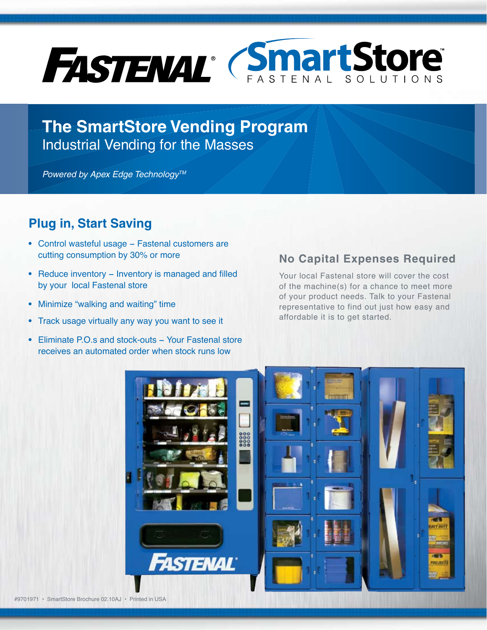

**The SmartStore Vending Program** Industrial Vending for the Masses

*Powered by Apex Edge Technology™* 

#### **Plug in, Start Saving**

- **•** Control wasteful usage − Fastenal customers are cutting consumption by 30% or more
- **•** Reduce inventory − Inventory is managed and filled by your local Fastenal store
- **•** Minimize "walking and waiting" time
- **•** Track usage virtually any way you want to see it
- **•** Eliminate P.O.s and stock-outs − Your Fastenal store receives an automated order when stock runs low

#### **No Capital Expenses Required**

Your local Fastenal store will cover the cost of the machine(s) for a chance to meet more of your product needs. Talk to your Fastenal representative to find out just how easy and affordable it is to get started.

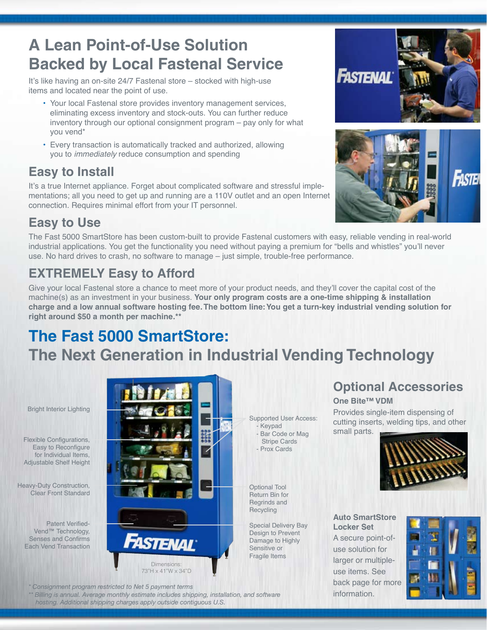## **A Lean Point-of-Use Solution Backed by Local Fastenal Service**

It's like having an on-site 24/7 Fastenal store – stocked with high-use items and located near the point of use.

- Your local Fastenal store provides inventory management services, eliminating excess inventory and stock-outs. You can further reduce inventory through our optional consignment program – pay only for what you vend\*
- Every transaction is automatically tracked and authorized, allowing you to *immediately* reduce consumption and spending

### **Easy to Install**

It's a true Internet appliance. Forget about complicated software and stressful implementations; all you need to get up and running are a 110V outlet and an open Internet connection. Requires minimal effort from your IT personnel.





## **Easy to Use**

The Fast 5000 SmartStore has been custom-built to provide Fastenal customers with easy, reliable vending in real-world industrial applications. You get the functionality you need without paying a premium for "bells and whistles" you'll never use. No hard drives to crash, no software to manage – just simple, trouble-free performance.

## **EXTREMELY Easy to Afford**

Give your local Fastenal store a chance to meet more of your product needs, and they'll cover the capital cost of the machine(s) as an investment in your business. **Your only program costs are a one-time shipping & installation charge and a low annual software hosting fee. The bottom line: You get a turn-key industrial vending solution for right around \$50 a month per machine.\*\***

Supported User Access:

- Keypad - Bar Code or Mag Stripe Cards - Prox Cards

Optional Tool Return Bin for Regrinds and **Recycling** 

Special Delivery Bay Design to Prevent Damage to Highly Sensitive or Fragile Items

# **The Fast 5000 SmartStore: The Next Generation in Industrial Vending Technology**

Bright Interior Lighting

Flexible Configurations, Easy to Reconfigure for Individual Items, Adjustable Shelf Height

Heavy-Duty Construction, Clear Front Standard

> Patent Verified-Vend<sup>™</sup> Technology, Senses and Confirms Each Vend Transaction



*\* Consignment program restricted to Net 5 payment terms*

*\*\* Billing is annual. Average monthly estimate includes shipping, installation, and software hosting. Additional shipping charges apply outside contiguous U.S.*

**Optional Accessories**

**One Bite™ VDM**

Provides single-item dispensing of cutting inserts, welding tips, and other small parts.



**Auto SmartStore Locker Set**

A secure point-ofuse solution for larger or multipleuse items. See back page for more information.

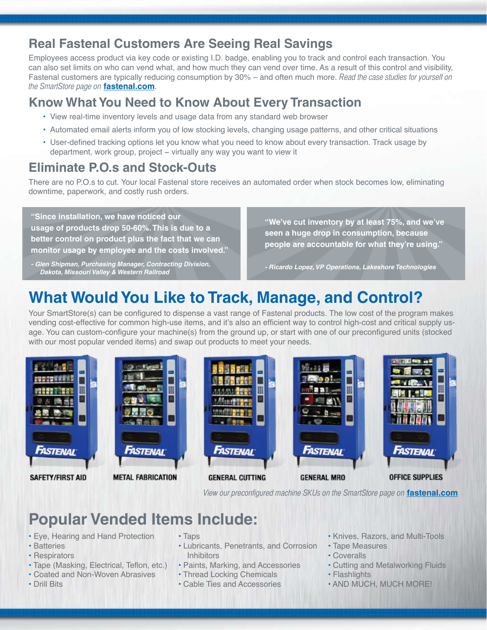#### **Real Fastenal Customers Are Seeing Real Savings**

Employees access product via key code or existing I.D. badge, enabling you to track and control each transaction. You can also set limits on who can vend what, and how much they can vend over time. As a result of this control and visibility, Fastenal customers are typically reducing consumption by 30% – and often much more. Read the case studies for yourself on the SmartStore page on **[fastenal.com](http://www.fastenal.com/web/services.ex;jsessionid=bd51f8e039859f772a177157456459d6f5c08d446bf5eb5e2cb5947b840f1c18.e34RbhmQbxiOai0MbO0?action=SmartStore)**.

#### **Know What You Need to Know About Every Transaction**

- View real-time inventory levels and usage data from any standard web browser
- Automated email alerts inform you of low stocking levels, changing usage patterns, and other critical situations
- User-defined tracking options let you know what you need to know about every transaction. Track usage by department, work group, project – virtually any way you want to view it

### **Eliminate P.O.s and Stock-Outs**

There are no P.O.s to cut. Your local Fastenal store receives an automated order when stock becomes low, eliminating downtime, paperwork, and costly rush orders.

**"Since installation, we have noticed our usage of products drop 50-60%. This is due to a better control on product plus the fact that we can monitor usage by employee and the costs involved."**

*- Glen Shipman, Purchasing Manager, Contracting Division, Dakota, Missouri Valley & Western Railroad*

**"We've cut inventory by at least 75%, and we've seen a huge drop in consumption, because people are accountable for what they're using."**

*- Ricardo Lopez, VP Operations, Lakeshore Technologies*

H

# **What Would You Like to Track, Manage, and Control?**

Your SmartStore(s) can be configured to dispense a vast range of Fastenal products. The low cost of the program makes vending cost-effective for common high-use items, and it's also an efficient way to control high-cost and critical supply usage. You can custom-configure your machine(s) from the ground up, or start with one of our preconfigured units (stocked with our most popular vended items) and swap out products to meet your needs.

MAAMIL EER

Fastenal

init and

m

H

⊟

a



**SAFETY/FIRST AID** 



**METAL FABRICATION** 

Fastenal **GENERAL CUTTING GENERAL MRO** 



**OFFICE SUPPLIES** 

View our preconfigured machine SKUs on the SmartStore page on **[fastenal.com](http://www.fastenal.com/web/services.ex;jsessionid=bd51f8e039859f772a177157456459d6f5c08d446bf5eb5e2cb5947b840f1c18.e34RbhmQbxiOai0MbO0?action=SmartStore)**

**1995 3 3 3 4** 

はいい

## **Popular Vended Items Include:**

- Eye, Hearing and Hand Protection
- Batteries
- Respirators
- Tape (Masking, Electrical, Teflon, etc.)
- Coated and Non-Woven Abrasives
- Drill Bits
- Taps
- Lubricants, Penetrants, and Corrosion **Inhibitors**
- Paints, Marking, and Accessories
- Thread Locking Chemicals
- Cable Ties and Accessories
- Knives, Razors, and Multi-Tools
- Tape Measures
- Coveralls
- Cutting and Metalworking Fluids
- Flashlights
- AND MUCH, MUCH MORE!